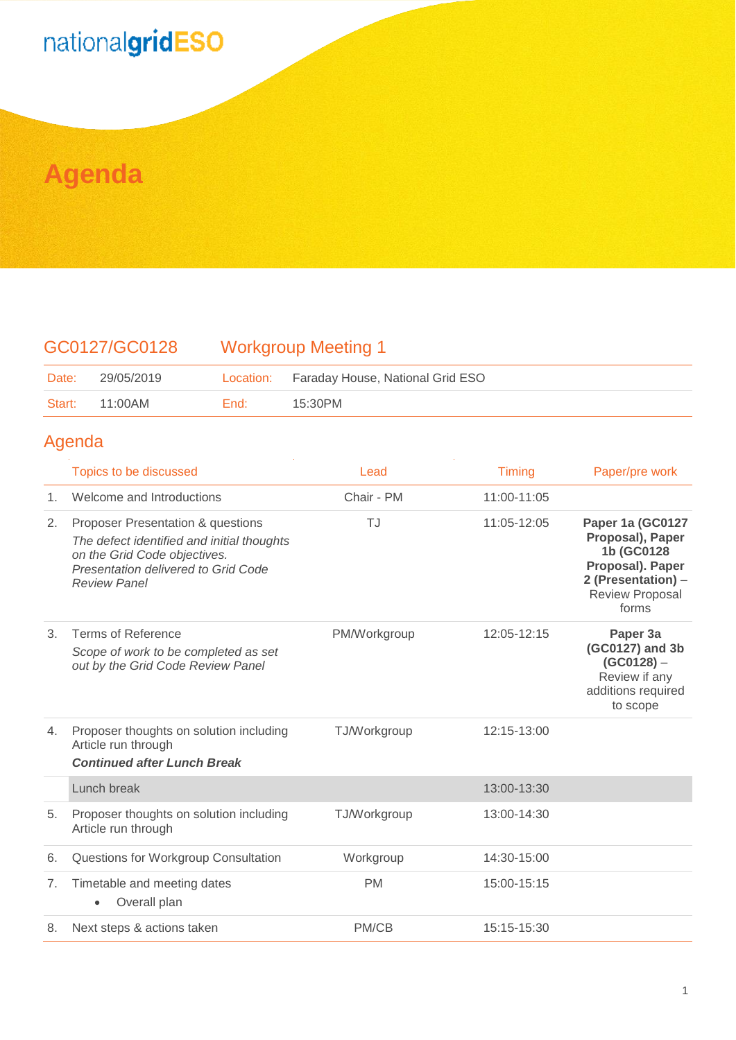# nationalgridESO

## **Agenda**

### GC0127/GC0128 Workgroup Meeting 1

| Date: | 29/05/2019     |        | Location: Faraday House, National Grid ESO |
|-------|----------------|--------|--------------------------------------------|
|       | Start: 11:00AM | End: I | 15:30PM                                    |

#### Agenda

|                | Topics to be discussed                                                                                                                                                        | Lead         | <b>Timing</b> | Paper/pre work                                                                                                           |
|----------------|-------------------------------------------------------------------------------------------------------------------------------------------------------------------------------|--------------|---------------|--------------------------------------------------------------------------------------------------------------------------|
| 1 <sub>1</sub> | Welcome and Introductions                                                                                                                                                     | Chair - PM   | 11:00-11:05   |                                                                                                                          |
| 2.             | Proposer Presentation & questions<br>The defect identified and initial thoughts<br>on the Grid Code objectives.<br>Presentation delivered to Grid Code<br><b>Review Panel</b> | TJ           | 11:05-12:05   | Paper 1a (GC0127<br>Proposal), Paper<br>1b (GC0128<br>Proposal). Paper<br>2 (Presentation) -<br>Review Proposal<br>forms |
| 3 <sub>1</sub> | Terms of Reference<br>Scope of work to be completed as set<br>out by the Grid Code Review Panel                                                                               | PM/Workgroup | 12:05-12:15   | Paper 3a<br>(GC0127) and 3b<br>$(GCO128) -$<br>Review if any<br>additions required<br>to scope                           |
| 4.             | Proposer thoughts on solution including<br>Article run through<br><b>Continued after Lunch Break</b>                                                                          | TJ/Workgroup | 12:15-13:00   |                                                                                                                          |
|                | Lunch break                                                                                                                                                                   |              | 13:00-13:30   |                                                                                                                          |
| 5.             | Proposer thoughts on solution including<br>Article run through                                                                                                                | TJ/Workgroup | 13:00-14:30   |                                                                                                                          |
| 6.             | Questions for Workgroup Consultation                                                                                                                                          | Workgroup    | 14:30-15:00   |                                                                                                                          |
| 7.             | Timetable and meeting dates<br>Overall plan                                                                                                                                   | <b>PM</b>    | 15:00-15:15   |                                                                                                                          |
| 8.             | Next steps & actions taken                                                                                                                                                    | PM/CB        | 15:15-15:30   |                                                                                                                          |